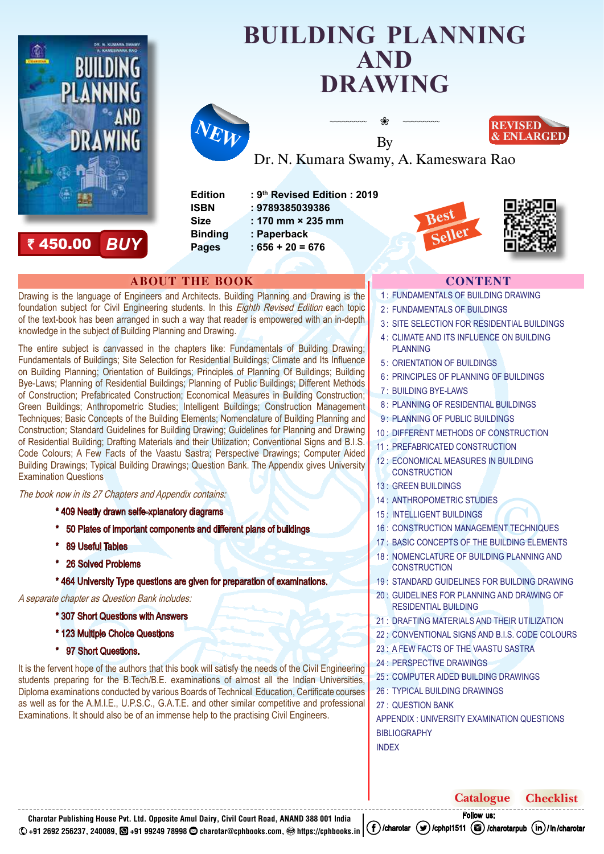<span id="page-0-0"></span>

` [450.00](https://cph.ccavenue.com/stores/prl/cph%2C39053) *BUY*

# **[BUILDING PLANNING](https://cphbooks.in/clink/building_planning_drawing/) AND DRAWING**

❀



By Dr. N. Kumara Swamy, A. Kameswara Rao

**Edition : 9th Revised Edition : 2019 ISBN : 9789385039386 Size : 170 mm × 235 mm Binding : Paperback Pages : 656 + 20 = 676**





**REVISED & ENLARGED**

# **ABOUT THE BOOK CONTENT**

Drawing is the language of Engineers and Architects. Building Planning and Drawing is the foundation subject for Civil Engineering students. In this *Eighth Revised Edition* each topic of the text-book has been arranged in such a way that reader is empowered with an in-depth knowledge in the subject of Building Planning and Drawing.

The entire subject is canvassed in the chapters like: Fundamentals of Building Drawing; Fundamentals of Buildings; Site Selection for Residential Buildings; Climate and Its Influence on Building Planning; Orientation of Buildings; Principles of Planning Of Buildings; Building Bye-Laws; Planning of Residential Buildings; Planning of Public Buildings; Different Methods of Construction; Prefabricated Construction; Economical Measures in Building Construction; Green Buildings; Anthropometric Studies; Intelligent Buildings; Construction Management Techniques; Basic Concepts of the Building Elements; Nomenclature of Building Planning and Construction; Standard Guidelines for Building Drawing; Guidelines for Planning and Drawing of Residential Building; Drafting Materials and their Utilization; Conventional Signs and B.I.S. Code Colours; A Few Facts of the Vaastu Sastra; Perspective Drawings; Computer Aided Building Drawings; Typical Building Drawings; Question Bank. The Appendix gives University Examination Questions

The book now in its 27 Chapters and Appendix contains:

- \* 409 Neatly drawn selfe-xplanatory diagrams
- 50 Plates of important components and different plans of buildings
- 89 Useful Tables
- 26 Solved Problems
- \* 464 University Type questions are given for preparation of examinations.

A separate chapter as Question Bank includes:

- \* 307 Short Questions with Answers
- \* 123 Multiple Choice Questions
- \* 97 Short Questions.

It is the fervent hope of the authors that this book will satisfy the needs of the Civil Engineering students preparing for the B.Tech/B.E. examinations of almost all the Indian Universities, Diploma examinations conducted by various Boards of Technical Education, Certificate courses as well as for the A.M.I.E., U.P.S.C., G.A.T.E. and other similar competitive and professional Examinations. It should also be of an immense help to the practising Civil Engineers.

- 1 : [FUNDAMENTALS OF BUILDING DRAWING](#page-1-0)
- 2 : [FUNDAMENTALS OF BUILDINGS](#page-1-1)
- 3 : [SITE SELECTION FOR RESIDENTIAL BUILDINGS](#page-1-2)
- 4 : [CLIMATE AND ITS INFLUENCE ON BUILDING](#page-1-3)  [PLANNING](#page-1-3)
- 5 : [ORIENTATION OF BUILDINGS](#page-1-4)
- 6 : [PRINCIPLES OF PLANNING OF BUILDINGS](#page-1-5)
- 7 : [BUILDING BYE-LAWS](#page-1-6)
- 8 : [PLANNING OF RESIDENTIAL BUILDINGS](#page-1-7)
- 9: [PLANNING OF PUBLIC BUILDINGS](#page-1-8)
- 10 : [DIFFERENT METHODS OF CONSTRUCTION](#page-1-9)
- 11 : [PREFABRICATED CONSTRUCTION](#page-1-10)
- 12 : [ECONOMICAL MEASURES IN BUILDING](#page-2-0)  **[CONSTRUCTION](#page-2-0)**
- 13 : [GREEN BUILDINGS](#page-2-1)
- 14 : [ANTHROPOMETRIC STUDIES](#page-2-2)
- 15 : [INTELLIGENT BUILDINGS](#page-2-3)
- 16 : [CONSTRUCTION MANAGEMENT TECHNIQUES](#page-2-4)
- 17 : [BASIC CONCEPTS OF THE BUILDING ELEMENTS](#page-2-5)
- 18 : NOMENCLATURE OF BUILDING PLANNING AND **[CONSTRUCTION](#page-2-6)**
- 19 : [STANDARD GUIDELINES FOR BUILDING DRAWING](#page-2-7)
- 20 : [GUIDELINES FOR PLANNING AND DRAWING OF](#page-2-8)  [RESIDENTIAL BUILDING](#page-2-8)
- 21 : [DRAFTING MATERIALS AND THEIR UTILIZATION](#page-2-9)
- 22 : [CONVENTIONAL SIGNS AND B.I.S. CODE COLOURS](#page-3-0)
- 23 : [A FEW FACTS OF THE VAASTU SASTRA](#page-3-1)
- 24 : [PERSPECTIVE DRAWINGS](#page-3-2)
- 25 : [COMPUTER AIDED BUILDING DRAWINGS](#page-3-3)
- 26 : [TYPICAL BUILDING DRAWINGS](#page-3-4)
- 27 : [QUESTION BANK](#page-3-5)

[APPENDIX : UNIVERSITY EXAMINATION QUESTIONS](#page-3-6) [BIBLIOGRAPHY](#page-3-6) [INDEX](#page-3-6)

**Charotar Publishing House Pvt. Ltd. Opposite Amul Dairy, Civil Court Road, ANAND 388 001 India +91 2692 256237, 240089, [+91 99249 78998](https://wa.me/919924978998%3Ftext%3DCharotar) [charotar@cphbooks.com,](mailto:charotar%40cphbooks.com) [https://cphbooks.in](https://cphbooks.in/)**  $(f)$ [/charotar](https://www.linkedin.com/in/charotar)  $(g)$ [/cphpl1511](https://twitter.com/cphpl1511)  $(g)$ [/charotarpub](https://www.instagram.com/charotarpub/)  $(in)$ [/](https://www.linkedin.com/in/charotar)in/charotar

F[ollow u](https://www.instagram.com/charotarpub/)s: **[Catalogue](https://cphbooks.in/pdf/catalogue.pdf) [Checklist](https://cphbooks.in/pdf/check_list.pdf)**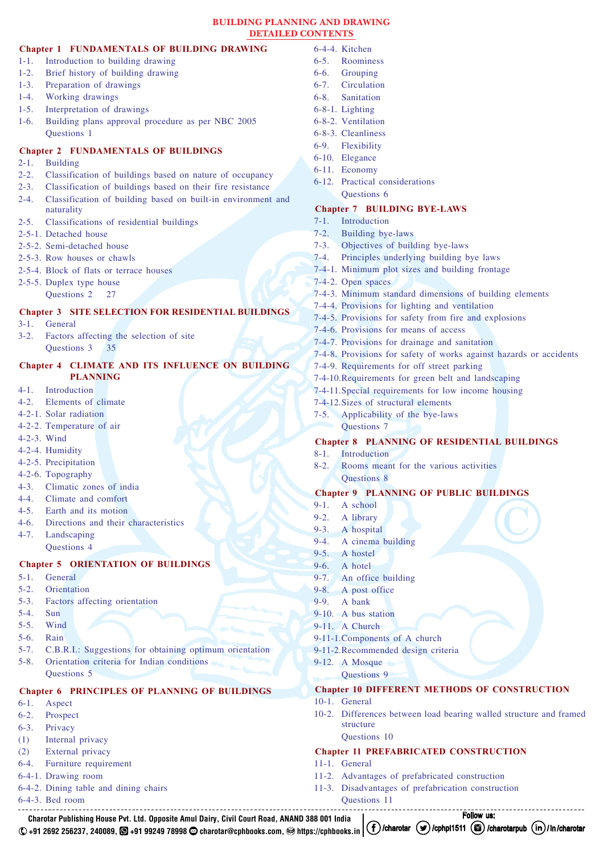#### **BUILDING PLANNING AND DRAWING DETAILED CONTENTS**

# <span id="page-1-0"></span>**Chapter 1 [FUNDAMENTALS OF BUILDING DRAWING](#page-0-0)**

- 1-1. [Introduction to building drawing](#page-0-0)
- 1-2. [Brief history of building drawing](#page-0-0)
- 1-3. [Preparation of drawings](#page-0-0)
- 1-4. [Working drawings](#page-0-0)
- 1-5. [Interpretation of drawings](#page-0-0)
- 1-6. [Building plans approval procedure as per NBC 2005](#page-0-0) [Questions 1](#page-0-0)

# <span id="page-1-1"></span>**Chapter 2 [FUNDAMENTALS OF BUILDINGS](#page-0-0)**

- 2-1. [Building](#page-0-0)
- 2-2. [Classification of buildings based on nature of occupancy](#page-0-0)
- 2-3. [Classification of buildings based on their fire resistance](#page-0-0)
- 2-4. [Classification of building based on built-in environment and](#page-0-0)  [naturality](#page-0-0)
- 2-5. [Classifications of residential buildings](#page-0-0)
- 2-5-1. [Detached house](#page-0-0)
- 2-5-2. [Semi-detached house](#page-0-0)
- 2-5-3. [Row houses or chawls](#page-0-0)
- 2-5-4. [Block of flats or terrace houses](#page-0-0)
- 2-5-5. [Duplex type house](#page-0-0) [Questions 2](#page-0-0) 27

## <span id="page-1-2"></span>**Chapter 3 [SITE SELECTION FOR RESIDENTIAL BUILDINGS](#page-0-0)**

- 3-1. [General](#page-0-0)
- 3-2. [Factors affecting the selection of site](#page-0-0) [Questions 3](#page-0-0) 35

# <span id="page-1-3"></span>**Chapter 4 [CLIMATE AND ITS INFLUENCE ON BUILDING](#page-0-0)  [PLANNING](#page-0-0)**

- 4-1. [Introduction](#page-0-0)
- 4-2. [Elements of climate](#page-0-0)
- 4-2-1. [Solar radiation](#page-0-0)
- 4-2-2. [Temperature of air](#page-0-0)
- [4-2-3.](#page-0-0) Wind
- 4-2-4. [Humidity](#page-0-0)
- 4-2-5. [Precipitation](#page-0-0)
- 4-2-6. [Topography](#page-0-0)
- 4-3. [Climatic zones of india](#page-0-0)
- 4-4. [Climate and comfort](#page-0-0)
- 4-5. [Earth and its motion](#page-0-0)
- 4-6. [Directions and their characteristics](#page-0-0)
- 4-7. [Landscaping](#page-0-0) [Questions 4](#page-0-0)

# <span id="page-1-4"></span>**Chapter 5 [ORIENTATION OF BUILDINGS](#page-0-0)**

- 5-1. [General](#page-0-0)
- 5-2. [Orientation](#page-0-0)
- 5-3. [Factors affecting orientation](#page-0-0)
- [5-4.](#page-0-0) Sun
- 5-5. [Wind](#page-0-0)
- 5-6. [Rain](#page-0-0)
- 5-7. [C.B.R.I.: Suggestions for obtaining optimum orientation](#page-0-0)
- 5-8. [Orientation criteria for Indian conditions](#page-0-0) [Questions 5](#page-0-0)

# <span id="page-1-5"></span>**Chapter 6 [PRINCIPLES OF PLANNING OF BUILDINGS](#page-0-0)**

**Charotar Publishing House Pvt. Ltd. Opposite Amul Dairy, Civil Court Road, ANAND 388 001 India**

- 6-1. [Aspect](#page-0-0)
- 6-2. [Prospect](#page-0-0)
- 6-3. [Privacy](#page-0-0)
- (1) [Internal privacy](#page-0-0)
- (2) [External privacy](#page-0-0) 6-4. [Furniture requirement](#page-0-0)
- 
- 6-4-1. [Drawing room](#page-0-0)
- 6-4-2. [Dining table and dining chairs](#page-0-0)
- 6-4-3. [Bed room](#page-0-0)
- 6-4-4. [Kitchen](#page-0-0) 6-5. [Roominess](#page-0-0)
- 6-6. [Grouping](#page-0-0)
- 6-7. [Circulation](#page-0-0)
- 6-8. [Sanitation](#page-0-0)
- 6-8-1. [Lighting](#page-0-0)
- 6-8-2. [Ventilation](#page-0-0)
- 6-8-3. [Cleanliness](#page-0-0)
- 6-9. [Flexibility](#page-0-0)
- 6-10. [Elegance](#page-0-0)
- 6-11. [Economy](#page-0-0)
- 6-12. [Practical considerations](#page-0-0)
	- [Questions 6](#page-0-0)

# <span id="page-1-6"></span>**Chapter 7 [BUILDING BYE-LAWS](#page-0-0)**

- 7-1. [Introduction](#page-0-0)
- 7-2. [Building bye-laws](#page-0-0)
- 7-3. [Objectives of building bye-laws](#page-0-0)
- 7-4. [Principles underlying building bye laws](#page-0-0)
- 7-4-1. [Minimum plot sizes and building frontage](#page-0-0)
- 7-4-2. [Open spaces](#page-0-0)
- 7-4-3. [Minimum standard dimensions of building elements](#page-0-0)
- 7-4-4. [Provisions for lighting and ventilation](#page-0-0)
- 7-4-5. [Provisions for safety from fire and explosions](#page-0-0)
- 7-4-6. [Provisions for means of access](#page-0-0)
- 7-4-7. [Provisions for drainage and sanitation](#page-0-0)
- 7-4-8. [Provisions for safety of works against hazards or accidents](#page-0-0)
- 7-4-9. [Requirements for off street parking](#page-0-0)
- [7-4-10.Requirements for green belt and landscaping](#page-0-0)
- [7-4-11.Special requirements for low income housing](#page-0-0)
- [7-4-12.Sizes of structural elements](#page-0-0)
- 7-5. [Applicability of the bye-laws](#page-0-0) [Questions 7](#page-0-0)

#### <span id="page-1-7"></span>**Chapter 8 [PLANNING OF RESIDENTIAL BUILDINGS](#page-0-0)**

<span id="page-1-9"></span>**Chapter 10 [DIFFERENT METHODS OF CONSTRUCTION](#page-0-0)**

<span id="page-1-10"></span>**Chapter 11 [PREFABRICATED CONSTRUCTION](#page-0-0)**

11-2. [Advantages of prefabricated construction](#page-0-0) 11-3. [Disadvantages of prefabrication construction](#page-0-0)

10-2. [Differences between load bearing walled structure and framed](#page-0-0)

F[ollow u](https://www.instagram.com/charotarpub/)s:

- 8-1. [Introduction](#page-0-0)
- 8-2. [Rooms meant for the various activities](#page-0-0) [Questions 8](#page-0-0)

#### <span id="page-1-8"></span>**Chapter 9 [PLANNING OF PUBLIC BUILDINGS](#page-0-0)**

- 9-1. [A school](#page-0-0)
- 9-2. [A library](#page-0-0)
- 9-3. [A hospital](#page-0-0)
- 9-4. [A cinema building](#page-0-0)
- 9-5. [A hostel](#page-0-0)
- 9-6. [A hotel](#page-0-0)
- 9-7. [An office building](#page-0-0)

[9-11-2.Recommended design criteria](#page-0-0)

- 9-8. [A post office](#page-0-0)
- 9-9. [A bank](#page-0-0)
- 9-10. [A bus station](#page-0-0)
- 9-11. [A Church](#page-0-0) [9-11-1.Components of A church](#page-0-0)

9-12. [A Mosque](#page-0-0)

10-1. [General](#page-0-0)

11-1. [General](#page-0-0)

[Questions 9](#page-0-0)

[structure](#page-0-0) [Questions 10](#page-0-0)

[Questions 11](#page-0-0)

+91 2692 256237, 240089, **③** [+91 99249 78998](https://wa.me/919924978998%3Ftext%3DCharotar) ۞ [charotar@cphbooks.com,](mailto:charotar%40cphbooks.com) , [https://cphbooks.in](https://cphbooks.in/) | Cf) [/charotar](https://www.linkedin.com/in/charotar) (♥)[/cphpl1511](https://twitter.com/cphpl1511) (③)[/charotarpub](https://www.instagram.com/charotarpub/) (in)[/](https://www.linkedin.com/in/charotar)in/charotar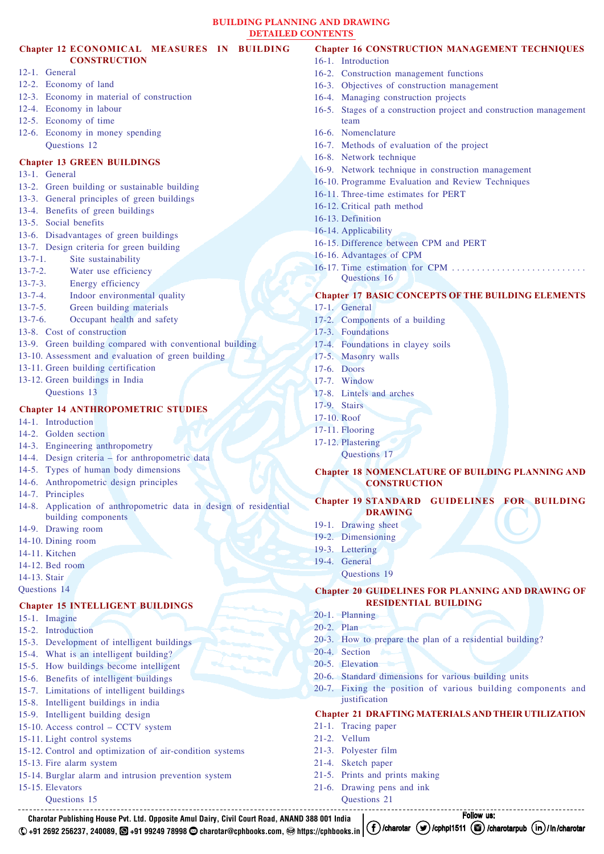#### <span id="page-2-0"></span>**Chapter 12 [ECONOMICAL MEASURES IN BUILDING](#page-0-0)  [CONSTRUCTION](#page-0-0)**

- 12-1. [General](#page-0-0)
- 12-2. [Economy of land](#page-0-0)
- 12-3. [Economy in material of construction](#page-0-0)
- 12-4. [Economy in labour](#page-0-0)
- 12-5. [Economy of time](#page-0-0)
- 12-6. [Economy in money spending](#page-0-0)  [Questions 12](#page-0-0)

### <span id="page-2-1"></span>**Chapter 13 [GREEN BUILDINGS](#page-0-0)**

- 13-1. [General](#page-0-0)
- 13-2. [Green building or sustainable building](#page-0-0)
- 13-3. [General principles of green buildings](#page-0-0)
- 13-4. [Benefits of green buildings](#page-0-0)
- 13-5. [Social benefits](#page-0-0)
- 13-6. [Disadvantages of green buildings](#page-0-0)
- 13-7. [Design criteria for green building](#page-0-0)
- 13-7-1. [Site sustainability](#page-0-0)
- 13-7-2. [Water use efficiency](#page-0-0)
- 13-7-3. [Energy efficiency](#page-0-0)
- 13-7-4. [Indoor environmental quality](#page-0-0)
- 13-7-5. [Green building materials](#page-0-0)
- 13-7-6. [Occupant health and safety](#page-0-0)
- 13-8. [Cost of construction](#page-0-0)
- 13-9. [Green building compared with conventional building](#page-0-0)
- 13-10. [Assessment and evaluation of green building](#page-0-0)
- 13-11. [Green building certification](#page-0-0)
- 13-12. [Green buildings in India](#page-0-0) [Questions 13](#page-0-0)

#### <span id="page-2-2"></span>**Chapter 14 [ANTHROPOMETRIC STUDIES](#page-0-0)**

14-1. [Introduction](#page-0-0)

- 14-2. [Golden section](#page-0-0)
- 14-3. [Engineering anthropometry](#page-0-0)
- 14-4. [Design criteria for anthropometric data](#page-0-0)
- 14-5. [Types of human body dimensions](#page-0-0)
- 14-6. [Anthropometric design principles](#page-0-0)
- 14-7. [Principles](#page-0-0)
- 14-8. [Application of anthropometric data in design of residential](#page-0-0)  [building components](#page-0-0)
- 14-9. [Drawing room](#page-0-0)
- 14-10. [Dining room](#page-0-0)
- 14-11. [Kitchen](#page-0-0)
- 14-12. [Bed room](#page-0-0)
- [14-13.](#page-0-0) Stair
- [Questions 14](#page-0-0)

#### <span id="page-2-3"></span>**Chapter 15 [INTELLIGENT BUILDINGS](#page-0-0)**

- 15-1. [Imagine](#page-0-0)
- 15-2. [Introduction](#page-0-0)
- 15-3. [Development of intelligent buildings](#page-0-0)
- 15-4. [What is an intelligent building?](#page-0-0)
- 15-5. [How buildings become intelligent](#page-0-0)
- 15-6. [Benefits of intelligent buildings](#page-0-0)
- 15-7. [Limitations of intelligent buildings](#page-0-0)
- 15-8. [Intelligent buildings in india](#page-0-0)
- 15-9. [Intelligent building design](#page-0-0)
- 15-10. [Access control CCTV system](#page-0-0)
- 15-11. [Light control systems](#page-0-0)
- 15-12. [Control and optimization of air-condition systems](#page-0-0)

**Charotar Publishing House Pvt. Ltd. Opposite Amul Dairy, Civil Court Road, ANAND 388 001 India**

- 15-13. [Fire alarm system](#page-0-0)
- 15-14. [Burglar alarm and intrusion prevention system](#page-0-0)
- 15-15. [Elevators](#page-0-0)
	- [Questions 15](#page-0-0)

#### <span id="page-2-4"></span>**Chapter 16 [CONSTRUCTION MANAGEMENT TECHNIQUES](#page-0-0)**

- 16-1. [Introduction](#page-0-0)
- 16-2. [Construction management functions](#page-0-0)
- 16-3. [Objectives of construction management](#page-0-0)
- 16-4. [Managing construction projects](#page-0-0)
- 16-5. [Stages of a construction project and construction management](#page-0-0) [team](#page-0-0)
- 16-6. [Nomenclature](#page-0-0)
- 16-7. [Methods of evaluation of the project](#page-0-0)
- 16-8. [Network technique](#page-0-0)
- 16-9. [Network technique in construction management](#page-0-0)
- 16-10. [Programme Evaluation and Review Techniques](#page-0-0)
- 16-11. [Three-time estimates for PERT](#page-0-0)
- 16-12. [Critical path method](#page-0-0)
- 16-13. [Definition](#page-0-0)
- 16-14. [Applicability](#page-0-0)
- 16-15. [Difference between CPM and PERT](#page-0-0)
- 16-16. [Advantages of CPM](#page-0-0)
- 16-17. [Time estimation for CPM . .](#page-0-0) [Questions 16](#page-0-0)

# <span id="page-2-5"></span>**Chapter 17 BA[SIC CONCEPTS OF THE BUILDING ELEMENTS](#page-0-0)**

- 17-1. [General](#page-0-0)
- 17-2. [Components of a building](#page-0-0)
- 17-3. [Foundations](#page-0-0)
- 17-4. [Foundations in clayey soils](#page-0-0)
- 17-5. [Masonry walls](#page-0-0)
- 17-6. [Doors](#page-0-0)
- 17-7. [Window](#page-0-0)
- 17-8. [Lintels and arches](#page-0-0)
- 17-9. [Stairs](#page-0-0)
- [17-10.](#page-0-0) Roof
- 17-11. [Flooring](#page-0-0)
- 17-12. [Plastering](#page-0-0)
	- [Questions 17](#page-0-0)

#### <span id="page-2-6"></span>**Chapter 18 NO[MENCLATURE OF BUILDING PLANNING AND](#page-0-0) [CONSTRUCTION](#page-0-0)**

#### <span id="page-2-7"></span>**Chapter 19 [STANDARD GUIDELINES FOR BUILDING](#page-0-0) [DRAWING](#page-0-0)**

- 19-1. [Drawing sheet](#page-0-0)
- 19-2. [Dimensioning](#page-0-0)
- 19-3. [Lettering](#page-0-0)
- 19-4. [General](#page-0-0)
	- [Questions 19](#page-0-0)

iustification

21-5. [Prints and prints making](#page-0-0) 21-6. [Drawing pens and ink](#page-0-0) [Questions 21](#page-0-0)

21-1. [Tracing paper](#page-0-0) 21-2. [Vellum](#page-0-0) 21-3. [Polyester film](#page-0-0) 21-4. [Sketch paper](#page-0-0)

### <span id="page-2-8"></span>**Chapter 20 [GUIDELINES FOR PLANNING AND DRAWING OF](#page-0-0) [RESIDENTIAL BUILDING](#page-0-0)**

20-7. [Fixing the position of various building components and](#page-0-0)

<span id="page-2-9"></span>**Chapter 21 [DRAFTING MATERIALS AND THEIR UTILIZATION](#page-0-0)**

20-3. [How to prepare the plan of a residential building?](#page-0-0)

20-6. [Standard dimensions for various building units](#page-0-0)

F[ollow u](https://www.instagram.com/charotarpub/)s:

20-1. [Planning](#page-0-0) [20-2.](#page-0-0) Plan

20-4. [Section](#page-0-0) 20-5. [Elevation](#page-0-0)

+91 2692 256237, 240089, **③** [+91 99249 78998](https://wa.me/919924978998%3Ftext%3DCharotar) ۞ [charotar@cphbooks.com,](mailto:charotar%40cphbooks.com) , [https://cphbooks.in](https://cphbooks.in/) | Cf) [/charotar](https://www.linkedin.com/in/charotar) (♥)[/cphpl1511](https://twitter.com/cphpl1511) (③)[/charotarpub](https://www.instagram.com/charotarpub/) (in)[/](https://www.linkedin.com/in/charotar)in/charotar